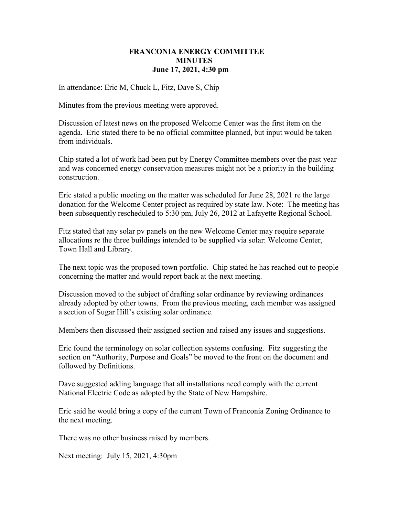## FRANCONIA ENERGY COMMITTEE **MINUTES** June 17, 2021, 4:30 pm

In attendance: Eric M, Chuck L, Fitz, Dave S, Chip

Minutes from the previous meeting were approved.

Discussion of latest news on the proposed Welcome Center was the first item on the agenda. Eric stated there to be no official committee planned, but input would be taken from individuals.

Chip stated a lot of work had been put by Energy Committee members over the past year and was concerned energy conservation measures might not be a priority in the building construction.

Eric stated a public meeting on the matter was scheduled for June 28, 2021 re the large donation for the Welcome Center project as required by state law. Note: The meeting has been subsequently rescheduled to 5:30 pm, July 26, 2012 at Lafayette Regional School.

Fitz stated that any solar pv panels on the new Welcome Center may require separate allocations re the three buildings intended to be supplied via solar: Welcome Center, Town Hall and Library.

The next topic was the proposed town portfolio. Chip stated he has reached out to people concerning the matter and would report back at the next meeting.

Discussion moved to the subject of drafting solar ordinance by reviewing ordinances already adopted by other towns. From the previous meeting, each member was assigned a section of Sugar Hill's existing solar ordinance.

Members then discussed their assigned section and raised any issues and suggestions.

Eric found the terminology on solar collection systems confusing. Fitz suggesting the section on "Authority, Purpose and Goals" be moved to the front on the document and followed by Definitions.

Dave suggested adding language that all installations need comply with the current National Electric Code as adopted by the State of New Hampshire.

Eric said he would bring a copy of the current Town of Franconia Zoning Ordinance to the next meeting.

There was no other business raised by members.

Next meeting: July 15, 2021, 4:30pm